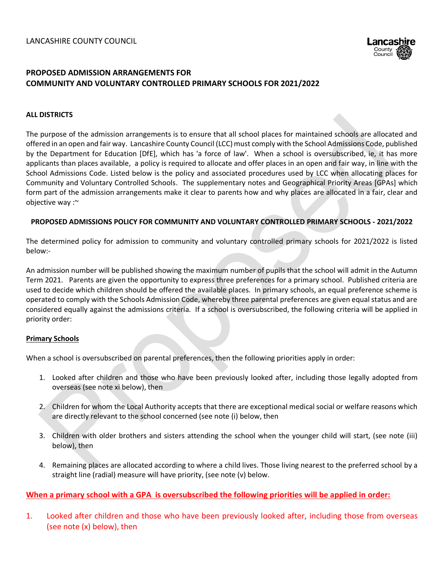

## **PROPOSED ADMISSION ARRANGEMENTS FOR COMMUNITY AND VOLUNTARY CONTROLLED PRIMARY SCHOOLS FOR 2021/2022**

#### **ALL DISTRICTS**

The purpose of the admission arrangements is to ensure that all school places for maintained schools are allocated and offered in an open and fair way. Lancashire County Council (LCC) must comply with the School Admissions Code, published by the Department for Education [DfE], which has 'a force of law'. When a school is oversubscribed, ie, it has more applicants than places available, a policy is required to allocate and offer places in an open and fair way, in line with the School Admissions Code. Listed below is the policy and associated procedures used by LCC when allocating places for Community and Voluntary Controlled Schools. The supplementary notes and Geographical Priority Areas [GPAs] which form part of the admission arrangements make it clear to parents how and why places are allocated in a fair, clear and objective way :~

#### **PROPOSED ADMISSIONS POLICY FOR COMMUNITY AND VOLUNTARY CONTROLLED PRIMARY SCHOOLS - 2021/2022**

The determined policy for admission to community and voluntary controlled primary schools for 2021/2022 is listed below:-

An admission number will be published showing the maximum number of pupils that the school will admit in the Autumn Term 2021. Parents are given the opportunity to express three preferences for a primary school. Published criteria are used to decide which children should be offered the available places. In primary schools, an equal preference scheme is operated to comply with the Schools Admission Code, whereby three parental preferences are given equal status and are considered equally against the admissions criteria. If a school is oversubscribed, the following criteria will be applied in priority order:

#### **Primary Schools**

When a school is oversubscribed on parental preferences, then the following priorities apply in order:

- 1. Looked after children and those who have been previously looked after, including those legally adopted from overseas (see note xi below), then
- 2. Children for whom the Local Authority accepts that there are exceptional medical social or welfare reasons which are directly relevant to the school concerned (see note (i) below, then
- 3. Children with older brothers and sisters attending the school when the younger child will start, (see note (iii) below), then
- 4. Remaining places are allocated according to where a child lives. Those living nearest to the preferred school by a straight line (radial) measure will have priority, (see note (v) below.

#### **When a primary school with a GPA is oversubscribed the following priorities will be applied in order:**

1. Looked after children and those who have been previously looked after, including those from overseas (see note (x) below), then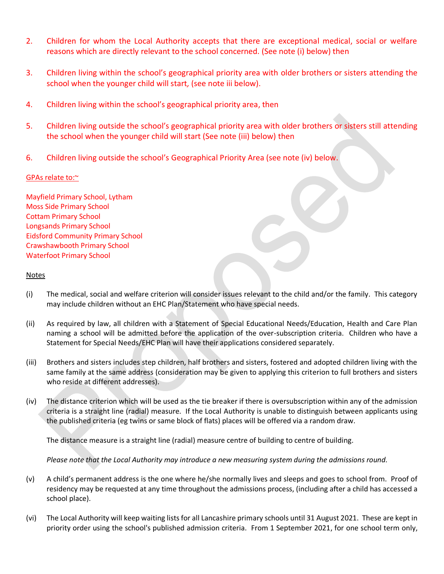- 2. Children for whom the Local Authority accepts that there are exceptional medical, social or welfare reasons which are directly relevant to the school concerned. (See note (i) below) then
- 3. Children living within the school's geographical priority area with older brothers or sisters attending the school when the younger child will start*,* (see note iii below).
- 4. Children living within the school's geographical priority area, then
- 5. Children living outside the school's geographical priority area with older brothers or sisters still attending the school when the younger child will start (See note (iii) below) then
- 6. Children living outside the school's Geographical Priority Area (see note (iv) below.

#### GPAs relate to:~

Mayfield Primary School, Lytham Moss Side Primary School Cottam Primary School Longsands Primary School Eidsford Community Primary School Crawshawbooth Primary School Waterfoot Primary School

#### Notes

- (i) The medical, social and welfare criterion will consider issues relevant to the child and/or the family. This category may include children without an EHC Plan/Statement who have special needs.
- (ii) As required by law, all children with a Statement of Special Educational Needs/Education, Health and Care Plan naming a school will be admitted before the application of the over-subscription criteria. Children who have a Statement for Special Needs/EHC Plan will have their applications considered separately.
- (iii) Brothers and sisters includes step children, half brothers and sisters, fostered and adopted children living with the same family at the same address (consideration may be given to applying this criterion to full brothers and sisters who reside at different addresses).
- (iv) The distance criterion which will be used as the tie breaker if there is oversubscription within any of the admission criteria is a straight line (radial) measure. If the Local Authority is unable to distinguish between applicants using the published criteria (eg twins or same block of flats) places will be offered via a random draw.

The distance measure is a straight line (radial) measure centre of building to centre of building.

*Please note that the Local Authority may introduce a new measuring system during the admissions round.* 

- (v) A child's permanent address is the one where he/she normally lives and sleeps and goes to school from. Proof of residency may be requested at any time throughout the admissions process, (including after a child has accessed a school place).
- (vi) The Local Authority will keep waiting lists for all Lancashire primary schools until 31 August 2021. These are kept in priority order using the school's published admission criteria. From 1 September 2021, for one school term only,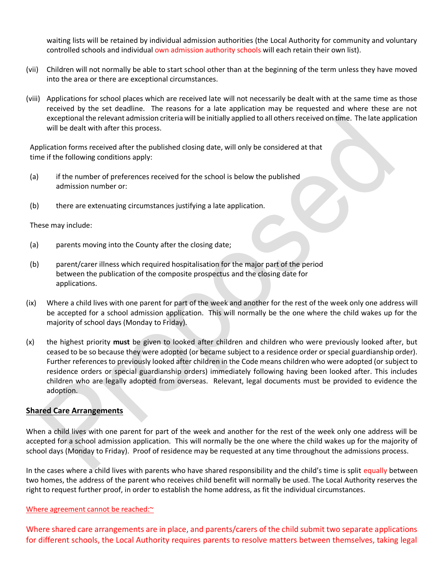waiting lists will be retained by individual admission authorities (the Local Authority for community and voluntary controlled schools and individual own admission authority schools will each retain their own list).

- (vii) Children will not normally be able to start school other than at the beginning of the term unless they have moved into the area or there are exceptional circumstances.
- (viii) Applications for school places which are received late will not necessarily be dealt with at the same time as those received by the set deadline. The reasons for a late application may be requested and where these are not exceptional the relevant admission criteria will be initially applied to all others received on time. The late application will be dealt with after this process.

Application forms received after the published closing date, will only be considered at that time if the following conditions apply:

- (a) if the number of preferences received for the school is below the published admission number or:
- (b) there are extenuating circumstances justifying a late application.

These may include:

- (a) parents moving into the County after the closing date;
- (b) parent/carer illness which required hospitalisation for the major part of the period between the publication of the composite prospectus and the closing date for applications.
- (ix) Where a child lives with one parent for part of the week and another for the rest of the week only one address will be accepted for a school admission application. This will normally be the one where the child wakes up for the majority of school days (Monday to Friday).
- (x) the highest priority **must** be given to looked after children and children who were previously looked after, but ceased to be so because they were adopted (or became subject to a residence order or special guardianship order). Further references to previously looked after children in the Code means children who were adopted (or subject to residence orders or special guardianship orders) immediately following having been looked after. This includes children who are legally adopted from overseas. Relevant, legal documents must be provided to evidence the adoption.

#### **Shared Care Arrangements**

When a child lives with one parent for part of the week and another for the rest of the week only one address will be accepted for a school admission application. This will normally be the one where the child wakes up for the majority of school days (Monday to Friday). Proof of residence may be requested at any time throughout the admissions process.

In the cases where a child lives with parents who have shared responsibility and the child's time is split equally between two homes, the address of the parent who receives child benefit will normally be used. The Local Authority reserves the right to request further proof, in order to establish the home address, as fit the individual circumstances.

#### Where agreement cannot be reached:~

Where shared care arrangements are in place, and parents/carers of the child submit two separate applications for different schools, the Local Authority requires parents to resolve matters between themselves, taking legal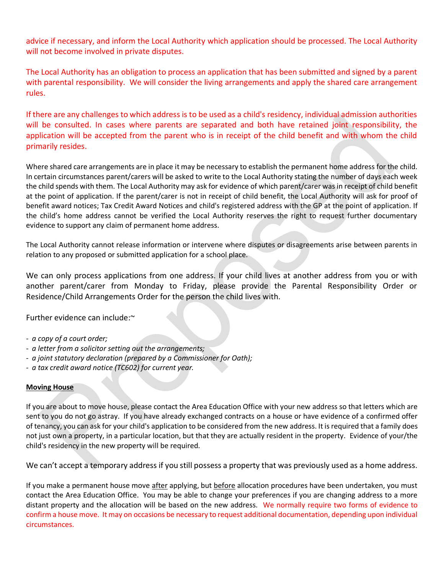advice if necessary, and inform the Local Authority which application should be processed. The Local Authority will not become involved in private disputes.

The Local Authority has an obligation to process an application that has been submitted and signed by a parent with parental responsibility. We will consider the living arrangements and apply the shared care arrangement rules.

If there are any challenges to which address is to be used as a child's residency, individual admission authorities will be consulted. In cases where parents are separated and both have retained joint responsibility, the application will be accepted from the parent who is in receipt of the child benefit and with whom the child primarily resides.

Where shared care arrangements are in place it may be necessary to establish the permanent home address for the child. In certain circumstances parent/carers will be asked to write to the Local Authority stating the number of days each week the child spends with them. The Local Authority may ask for evidence of which parent/carer was in receipt of child benefit at the point of application. If the parent/carer is not in receipt of child benefit, the Local Authority will ask for proof of benefit award notices; Tax Credit Award Notices and child's registered address with the GP at the point of application. If the child's home address cannot be verified the Local Authority reserves the right to request further documentary evidence to support any claim of permanent home address.

The Local Authority cannot release information or intervene where disputes or disagreements arise between parents in relation to any proposed or submitted application for a school place.

We can only process applications from one address. If your child lives at another address from you or with another parent/carer from Monday to Friday, please provide the Parental Responsibility Order or Residence/Child Arrangements Order for the person the child lives with.

Further evidence can include:~

- *- a copy of a court order;*
- *- a letter from a solicitor setting out the arrangements;*
- *- a joint statutory declaration (prepared by a Commissioner for Oath);*
- *- a tax credit award notice (TC602) for current year.*

#### **Moving House**

If you are about to move house, please contact the Area Education Office with your new address so that letters which are sent to you do not go astray. If you have already exchanged contracts on a house or have evidence of a confirmed offer of tenancy, you can ask for your child's application to be considered from the new address. It is required that a family does not just own a property, in a particular location, but that they are actually resident in the property. Evidence of your/the child's residency in the new property will be required.

We can't accept a temporary address if you still possess a property that was previously used as a home address.

If you make a permanent house move after applying, but before allocation procedures have been undertaken, you must contact the Area Education Office. You may be able to change your preferences if you are changing address to a more distant property and the allocation will be based on the new address. We normally require two forms of evidence to confirm a house move. It may on occasions be necessary to request additional documentation, depending upon individual circumstances.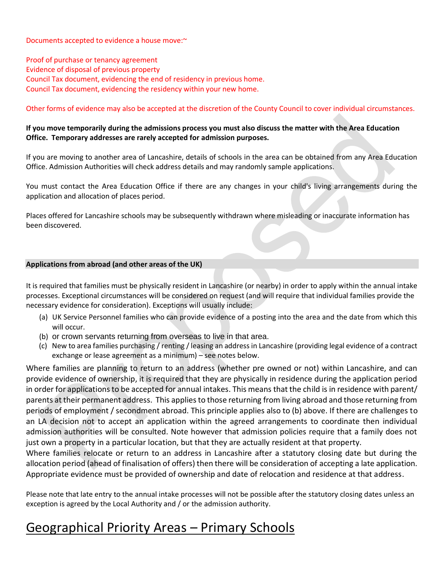Documents accepted to evidence a house move:~

Proof of purchase or tenancy agreement Evidence of disposal of previous property Council Tax document, evidencing the end of residency in previous home. Council Tax document, evidencing the residency within your new home.

#### Other forms of evidence may also be accepted at the discretion of the County Council to cover individual circumstances.

#### **If you move temporarily during the admissions process you must also discuss the matter with the Area Education Office. Temporary addresses are rarely accepted for admission purposes.**

If you are moving to another area of Lancashire, details of schools in the area can be obtained from any Area Education Office. Admission Authorities will check address details and may randomly sample applications.

You must contact the Area Education Office if there are any changes in your child's living arrangements during the application and allocation of places period.

Places offered for Lancashire schools may be subsequently withdrawn where misleading or inaccurate information has been discovered.

#### **Applications from abroad (and other areas of the UK)**

It is required that families must be physically resident in Lancashire (or nearby) in order to apply within the annual intake processes. Exceptional circumstances will be considered on request (and will require that individual families provide the necessary evidence for consideration). Exceptions will usually include:

- (a) UK Service Personnel families who can provide evidence of a posting into the area and the date from which this will occur.
- (b) or crown servants returning from overseas to live in that area.
- (c) New to area families purchasing / renting / leasing an address in Lancashire (providing legal evidence of a contract exchange or lease agreement as a minimum) – see notes below.

Where families are planning to return to an address (whether pre owned or not) within Lancashire, and can provide evidence of ownership, it is required that they are physically in residence during the application period in order for applications to be accepted for annual intakes. This means that the child is in residence with parent/ parents at their permanent address. This applies to those returning from living abroad and those returning from periods of employment / secondment abroad. This principle applies also to (b) above. If there are challenges to an LA decision not to accept an application within the agreed arrangements to coordinate then individual admission authorities will be consulted. Note however that admission policies require that a family does not just own a property in a particular location, but that they are actually resident at that property.

Where families relocate or return to an address in Lancashire after a statutory closing date but during the allocation period (ahead of finalisation of offers) then there will be consideration of accepting a late application. Appropriate evidence must be provided of ownership and date of relocation and residence at that address.

Please note that late entry to the annual intake processes will not be possible after the statutory closing dates unless an exception is agreed by the Local Authority and / or the admission authority.

# Geographical Priority Areas – Primary Schools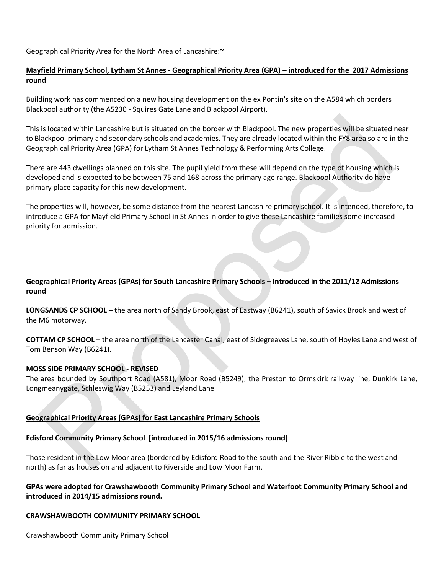Geographical Priority Area for the North Area of Lancashire:~

## **Mayfield Primary School, Lytham St Annes - Geographical Priority Area (GPA) – introduced for the 2017 Admissions round**

Building work has commenced on a new housing development on the ex Pontin's site on the A584 which borders Blackpool authority (the A5230 - Squires Gate Lane and Blackpool Airport).

This is located within Lancashire but is situated on the border with Blackpool. The new properties will be situated near to Blackpool primary and secondary schools and academies. They are already located within the FY8 area so are in the Geographical Priority Area (GPA) for Lytham St Annes Technology & Performing Arts College.

There are 443 dwellings planned on this site. The pupil yield from these will depend on the type of housing which is developed and is expected to be between 75 and 168 across the primary age range. Blackpool Authority do have primary place capacity for this new development.

The properties will, however, be some distance from the nearest Lancashire primary school. It is intended, therefore, to introduce a GPA for Mayfield Primary School in St Annes in order to give these Lancashire families some increased priority for admission.

# **Geographical Priority Areas (GPAs) for South Lancashire Primary Schools – Introduced in the 2011/12 Admissions round**

**LONGSANDS CP SCHOOL** – the area north of Sandy Brook, east of Eastway (B6241), south of Savick Brook and west of the M6 motorway.

**COTTAM CP SCHOOL** – the area north of the Lancaster Canal, east of Sidegreaves Lane, south of Hoyles Lane and west of Tom Benson Way (B6241).

#### **MOSS SIDE PRIMARY SCHOOL - REVISED**

The area bounded by Southport Road (A581), Moor Road (B5249), the Preston to Ormskirk railway line, Dunkirk Lane, Longmeanygate, Schleswig Way (B5253) and Leyland Lane

#### **Geographical Priority Areas (GPAs) for East Lancashire Primary Schools**

#### **Edisford Community Primary School [introduced in 2015/16 admissions round]**

Those resident in the Low Moor area (bordered by Edisford Road to the south and the River Ribble to the west and north) as far as houses on and adjacent to Riverside and Low Moor Farm.

#### **GPAs were adopted for Crawshawbooth Community Primary School and Waterfoot Community Primary School and introduced in 2014/15 admissions round.**

#### **CRAWSHAWBOOTH COMMUNITY PRIMARY SCHOOL**

Crawshawbooth Community Primary School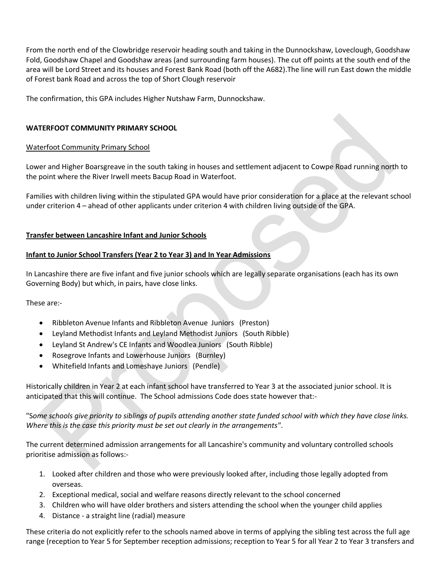From the north end of the Clowbridge reservoir heading south and taking in the Dunnockshaw, Loveclough, Goodshaw Fold, Goodshaw Chapel and Goodshaw areas (and surrounding farm houses). The cut off points at the south end of the area will be Lord Street and its houses and Forest Bank Road (both off the A682).The line will run East down the middle of Forest bank Road and across the top of Short Clough reservoir

The confirmation, this GPA includes Higher Nutshaw Farm, Dunnockshaw.

#### **WATERFOOT COMMUNITY PRIMARY SCHOOL**

#### Waterfoot Community Primary School

Lower and Higher Boarsgreave in the south taking in houses and settlement adjacent to Cowpe Road running north to the point where the River Irwell meets Bacup Road in Waterfoot.

Families with children living within the stipulated GPA would have prior consideration for a place at the relevant school under criterion 4 – ahead of other applicants under criterion 4 with children living outside of the GPA.

#### **Transfer between Lancashire Infant and Junior Schools**

#### **Infant to Junior School Transfers (Year 2 to Year 3) and In Year Admissions**

In Lancashire there are five infant and five junior schools which are legally separate organisations (each has its own Governing Body) but which, in pairs, have close links.

These are:-

- Ribbleton Avenue Infants and Ribbleton Avenue Juniors (Preston)
- Leyland Methodist Infants and Leyland Methodist Juniors (South Ribble)
- Leyland St Andrew's CE Infants and Woodlea Juniors (South Ribble)
- Rosegrove Infants and Lowerhouse Juniors (Burnley)
- Whitefield Infants and Lomeshaye Juniors (Pendle)

Historically children in Year 2 at each infant school have transferred to Year 3 at the associated junior school. It is anticipated that this will continue. The School admissions Code does state however that:-

"S*ome schools give priority to siblings of pupils attending another state funded school with which they have close links. Where this is the case this priority must be set out clearly in the arrangements"*.

The current determined admission arrangements for all Lancashire's community and voluntary controlled schools prioritise admission as follows:-

- 1. Looked after children and those who were previously looked after, including those legally adopted from overseas.
- 2. Exceptional medical, social and welfare reasons directly relevant to the school concerned
- 3. Children who will have older brothers and sisters attending the school when the younger child applies
- 4. Distance a straight line (radial) measure

These criteria do not explicitly refer to the schools named above in terms of applying the sibling test across the full age range (reception to Year 5 for September reception admissions; reception to Year 5 for all Year 2 to Year 3 transfers and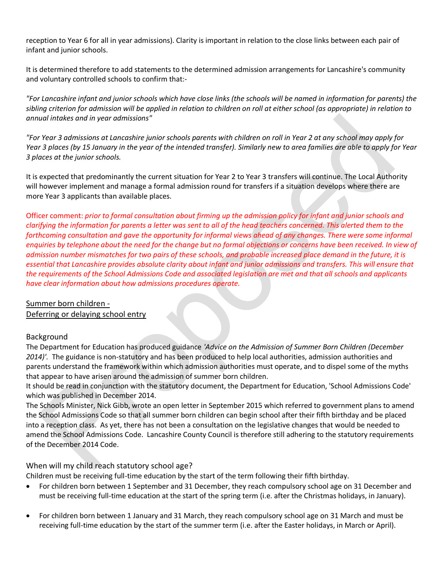reception to Year 6 for all in year admissions). Clarity is important in relation to the close links between each pair of infant and junior schools.

It is determined therefore to add statements to the determined admission arrangements for Lancashire's community and voluntary controlled schools to confirm that:-

*"For Lancashire infant and junior schools which have close links (the schools will be named in information for parents) the sibling criterion for admission will be applied in relation to children on roll at either school (as appropriate) in relation to annual intakes and in year admissions"*

*"For Year 3 admissions at Lancashire junior schools parents with children on roll in Year 2 at any school may apply for Year 3 places (by 15 January in the year of the intended transfer). Similarly new to area families are able to apply for Year 3 places at the junior schools.*

It is expected that predominantly the current situation for Year 2 to Year 3 transfers will continue. The Local Authority will however implement and manage a formal admission round for transfers if a situation develops where there are more Year 3 applicants than available places.

Officer comment: *prior to formal consultation about firming up the admission policy for infant and junior schools and clarifying the information for parents a letter was sent to all of the head teachers concerned. This alerted them to the forthcoming consultation and gave the opportunity for informal views ahead of any changes. There were some informal enquiries by telephone about the need for the change but no formal objections or concerns have been received. In view of admission number mismatches for two pairs of these schools, and probable increased place demand in the future, it is essential that Lancashire provides absolute clarity about infant and junior admissions and transfers. This will ensure that the requirements of the School Admissions Code and associated legislation are met and that all schools and applicants have clear information about how admissions procedures operate.* 

# Summer born children -

Deferring or delaying school entry

# Background

The Department for Education has produced guidance *'Advice on the Admission of Summer Born Children (December 2014)'.* The guidance is non-statutory and has been produced to help local authorities, admission authorities and parents understand the framework within which admission authorities must operate, and to dispel some of the myths that appear to have arisen around the admission of summer born children.

It should be read in conjunction with the statutory document, the Department for Education, 'School Admissions Code' which was published in December 2014.

The Schools Minister, Nick Gibb, wrote an open letter in September 2015 which referred to government plans to amend the School Admissions Code so that all summer born children can begin school after their fifth birthday and be placed into a reception class. As yet, there has not been a consultation on the legislative changes that would be needed to amend the School Admissions Code. Lancashire County Council is therefore still adhering to the statutory requirements of the December 2014 Code.

#### When will my child reach statutory school age?

Children must be receiving full-time education by the start of the term following their fifth birthday.

- For children born between 1 September and 31 December, they reach compulsory school age on 31 December and must be receiving full-time education at the start of the spring term (i.e. after the Christmas holidays, in January).
- For children born between 1 January and 31 March, they reach compulsory school age on 31 March and must be receiving full-time education by the start of the summer term (i.e. after the Easter holidays, in March or April).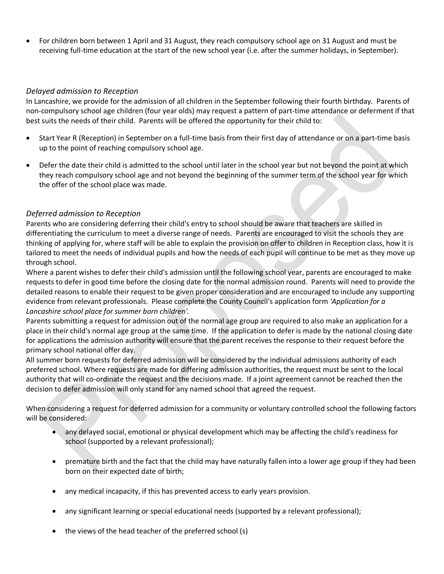For children born between 1 April and 31 August, they reach compulsory school age on 31 August and must be receiving full-time education at the start of the new school year (i.e. after the summer holidays, in September).

#### *Delayed admission to Reception*

In Lancashire, we provide for the admission of all children in the September following their fourth birthday. Parents of non-compulsory school age children (four year olds) may request a pattern of part-time attendance or deferment if that best suits the needs of their child. Parents will be offered the opportunity for their child to:

- Start Year R (Reception) in September on a full-time basis from their first day of attendance or on a part-time basis up to the point of reaching compulsory school age.
- Defer the date their child is admitted to the school until later in the school year but not beyond the point at which they reach compulsory school age and not beyond the beginning of the summer term of the school year for which the offer of the school place was made.

#### *Deferred admission to Reception*

Parents who are considering deferring their child's entry to school should be aware that teachers are skilled in differentiating the curriculum to meet a diverse range of needs. Parents are encouraged to visit the schools they are thinking of applying for, where staff will be able to explain the provision on offer to children in Reception class, how it is tailored to meet the needs of individual pupils and how the needs of each pupil will continue to be met as they move up through school.

Where a parent wishes to defer their child's admission until the following school year, parents are encouraged to make requests to defer in good time before the closing date for the normal admission round. Parents will need to provide the detailed reasons to enable their request to be given proper consideration and are encouraged to include any supporting evidence from relevant professionals. Please complete the County Council's application form *'Application for a Lancashire school place for summer born children'.*

Parents submitting a request for admission out of the normal age group are required to also make an application for a place in their child's normal age group at the same time. If the application to defer is made by the national closing date for applications the admission authority will ensure that the parent receives the response to their request before the primary school national offer day.

All summer born requests for deferred admission will be considered by the individual admissions authority of each preferred school. Where requests are made for differing admission authorities, the request must be sent to the local authority that will co-ordinate the request and the decisions made. If a joint agreement cannot be reached then the decision to defer admission will only stand for any named school that agreed the request.

When considering a request for deferred admission for a community or voluntary controlled school the following factors will be considered:

- any delayed social, emotional or physical development which may be affecting the child's readiness for school (supported by a relevant professional);
- premature birth and the fact that the child may have naturally fallen into a lower age group if they had been born on their expected date of birth;
- any medical incapacity, if this has prevented access to early years provision.
- any significant learning or special educational needs (supported by a relevant professional);
- the views of the head teacher of the preferred school (s)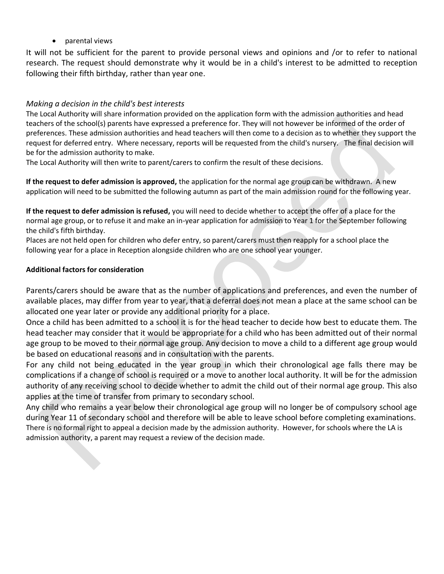parental views

It will not be sufficient for the parent to provide personal views and opinions and /or to refer to national research. The request should demonstrate why it would be in a child's interest to be admitted to reception following their fifth birthday, rather than year one.

# *Making a decision in the child's best interests*

The Local Authority will share information provided on the application form with the admission authorities and head teachers of the school(s) parents have expressed a preference for. They will not however be informed of the order of preferences. These admission authorities and head teachers will then come to a decision as to whether they support the request for deferred entry. Where necessary, reports will be requested from the child's nursery. The final decision will be for the admission authority to make.

The Local Authority will then write to parent/carers to confirm the result of these decisions.

**If the request to defer admission is approved,** the application for the normal age group can be withdrawn. A new application will need to be submitted the following autumn as part of the main admission round for the following year.

**If the request to defer admission is refused,** you will need to decide whether to accept the offer of a place for the normal age group, or to refuse it and make an in-year application for admission to Year 1 for the September following the child's fifth birthday.

Places are not held open for children who defer entry, so parent/carers must then reapply for a school place the following year for a place in Reception alongside children who are one school year younger.

#### **Additional factors for consideration**

Parents/carers should be aware that as the number of applications and preferences, and even the number of available places, may differ from year to year, that a deferral does not mean a place at the same school can be allocated one year later or provide any additional priority for a place.

Once a child has been admitted to a school it is for the head teacher to decide how best to educate them. The head teacher may consider that it would be appropriate for a child who has been admitted out of their normal age group to be moved to their normal age group. Any decision to move a child to a different age group would be based on educational reasons and in consultation with the parents.

For any child not being educated in the year group in which their chronological age falls there may be complications if a change of school is required or a move to another local authority. It will be for the admission authority of any receiving school to decide whether to admit the child out of their normal age group. This also applies at the time of transfer from primary to secondary school.

Any child who remains a year below their chronological age group will no longer be of compulsory school age during Year 11 of secondary school and therefore will be able to leave school before completing examinations. There is no formal right to appeal a decision made by the admission authority. However, for schools where the LA is admission authority, a parent may request a review of the decision made.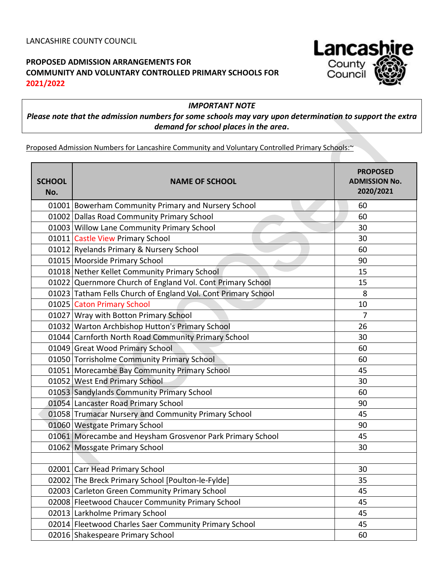# **PROPOSED ADMISSION ARRANGEMENTS FOR COMMUNITY AND VOLUNTARY CONTROLLED PRIMARY SCHOOLS FOR 2021/2022**

*IMPORTANT NOTE*

# *Please note that the admission numbers for some schools may vary upon determination to support the extra demand for school places in the area***.**

Proposed Admission Numbers for Lancashire Community and Voluntary Controlled Primary Schools:~

| <b>SCHOOL</b><br>No. | <b>NAME OF SCHOOL</b>                                         | <b>PROPOSED</b><br><b>ADMISSION No.</b><br>2020/2021 |
|----------------------|---------------------------------------------------------------|------------------------------------------------------|
|                      | 01001 Bowerham Community Primary and Nursery School           | 60                                                   |
|                      | 01002 Dallas Road Community Primary School                    | 60                                                   |
|                      | 01003 Willow Lane Community Primary School                    | 30                                                   |
|                      | 01011 Castle View Primary School                              | 30                                                   |
|                      | 01012 Ryelands Primary & Nursery School                       | 60                                                   |
|                      | 01015 Moorside Primary School                                 | 90                                                   |
|                      | 01018 Nether Kellet Community Primary School                  | 15                                                   |
|                      | 01022 Quernmore Church of England Vol. Cont Primary School    | 15                                                   |
|                      | 01023 Tatham Fells Church of England Vol. Cont Primary School | 8                                                    |
|                      | 01025 Caton Primary School                                    | 10                                                   |
|                      | 01027 Wray with Botton Primary School                         | 7                                                    |
|                      | 01032 Warton Archbishop Hutton's Primary School               | 26                                                   |
|                      | 01044 Carnforth North Road Community Primary School           | 30                                                   |
|                      | 01049 Great Wood Primary School                               | 60                                                   |
|                      | 01050 Torrisholme Community Primary School                    | 60                                                   |
|                      | 01051 Morecambe Bay Community Primary School                  | 45                                                   |
|                      | 01052 West End Primary School                                 | 30                                                   |
|                      | 01053 Sandylands Community Primary School                     | 60                                                   |
|                      | 01054 Lancaster Road Primary School                           | 90                                                   |
|                      | 01058 Trumacar Nursery and Community Primary School           | 45                                                   |
|                      | 01060 Westgate Primary School                                 | 90                                                   |
|                      | 01061 Morecambe and Heysham Grosvenor Park Primary School     | 45                                                   |
|                      | 01062 Mossgate Primary School                                 | 30                                                   |
|                      |                                                               |                                                      |
|                      | 02001 Carr Head Primary School                                | 30                                                   |
|                      | 02002 The Breck Primary School [Poulton-le-Fylde]             | 35                                                   |
|                      | 02003 Carleton Green Community Primary School                 | 45                                                   |
|                      | 02008 Fleetwood Chaucer Community Primary School              | 45                                                   |
|                      | 02013 Larkholme Primary School                                | 45                                                   |
|                      | 02014 Fleetwood Charles Saer Community Primary School         | 45                                                   |
|                      | 02016 Shakespeare Primary School                              | 60                                                   |

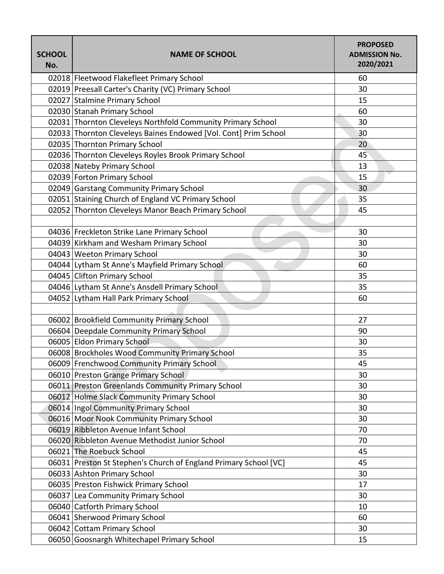| <b>SCHOOL</b><br>No. | <b>NAME OF SCHOOL</b>                                            | <b>PROPOSED</b><br><b>ADMISSION No.</b><br>2020/2021 |
|----------------------|------------------------------------------------------------------|------------------------------------------------------|
|                      | 02018 Fleetwood Flakefleet Primary School                        | 60                                                   |
|                      | 02019 Preesall Carter's Charity (VC) Primary School              | 30                                                   |
|                      | 02027 Stalmine Primary School                                    | 15                                                   |
|                      | 02030 Stanah Primary School                                      | 60                                                   |
|                      | 02031 Thornton Cleveleys Northfold Community Primary School      | 30                                                   |
|                      | 02033 Thornton Cleveleys Baines Endowed [Vol. Cont] Prim School  | 30                                                   |
|                      | 02035 Thornton Primary School                                    | 20                                                   |
|                      | 02036 Thornton Cleveleys Royles Brook Primary School             | 45                                                   |
|                      | 02038 Nateby Primary School                                      | 13                                                   |
|                      | 02039 Forton Primary School                                      | 15                                                   |
|                      | 02049 Garstang Community Primary School                          | 30                                                   |
|                      | 02051 Staining Church of England VC Primary School               | 35                                                   |
|                      | 02052 Thornton Cleveleys Manor Beach Primary School              | 45                                                   |
|                      |                                                                  |                                                      |
|                      | 04036 Freckleton Strike Lane Primary School                      | 30                                                   |
|                      | 04039 Kirkham and Wesham Primary School                          | 30                                                   |
|                      | 04043 Weeton Primary School                                      | 30                                                   |
|                      | 04044 Lytham St Anne's Mayfield Primary School                   | 60                                                   |
|                      | 04045 Clifton Primary School                                     | 35                                                   |
|                      | 04046 Lytham St Anne's Ansdell Primary School                    | 35                                                   |
|                      | 04052 Lytham Hall Park Primary School                            | 60                                                   |
|                      |                                                                  |                                                      |
|                      | 06002 Brookfield Community Primary School                        | 27                                                   |
|                      | 06604 Deepdale Community Primary School                          | 90                                                   |
|                      | 06005 Eldon Primary School                                       | 30                                                   |
|                      | 06008 Brockholes Wood Community Primary School                   | 35                                                   |
|                      | 06009 Frenchwood Community Primary School                        | 45                                                   |
|                      | 06010 Preston Grange Primary School                              | 30                                                   |
|                      | 06011 Preston Greenlands Community Primary School                | 30                                                   |
|                      | 06012 Holme Slack Community Primary School                       | 30                                                   |
|                      | 06014 Ingol Community Primary School                             | 30                                                   |
|                      | 06016 Moor Nook Community Primary School                         | 30                                                   |
|                      | 06019 Ribbleton Avenue Infant School                             | 70                                                   |
|                      | 06020 Ribbleton Avenue Methodist Junior School                   | 70                                                   |
|                      | 06021 The Roebuck School                                         | 45                                                   |
|                      | 06031 Preston St Stephen's Church of England Primary School [VC] | 45                                                   |
|                      | 06033 Ashton Primary School                                      | 30                                                   |
|                      | 06035 Preston Fishwick Primary School                            | 17                                                   |
|                      | 06037 Lea Community Primary School                               | 30                                                   |
|                      | 06040 Catforth Primary School                                    | 10                                                   |
|                      | 06041 Sherwood Primary School                                    | 60                                                   |
|                      | 06042 Cottam Primary School                                      | 30                                                   |
|                      | 06050 Goosnargh Whitechapel Primary School                       | 15                                                   |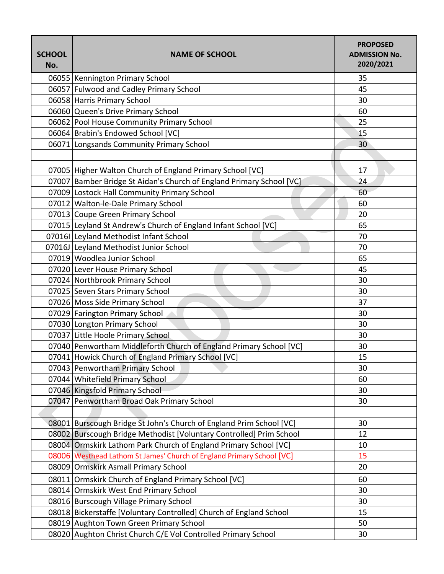| <b>SCHOOL</b><br>No. | <b>NAME OF SCHOOL</b>                                                 | <b>PROPOSED</b><br><b>ADMISSION No.</b><br>2020/2021 |
|----------------------|-----------------------------------------------------------------------|------------------------------------------------------|
|                      | 06055   Kennington Primary School                                     | 35                                                   |
|                      | 06057 Fulwood and Cadley Primary School                               | 45                                                   |
|                      | 06058 Harris Primary School                                           | 30                                                   |
|                      | 06060 Queen's Drive Primary School                                    | 60                                                   |
|                      | 06062 Pool House Community Primary School                             | 25                                                   |
|                      | 06064 Brabin's Endowed School [VC]                                    | 15                                                   |
|                      | 06071 Longsands Community Primary School                              | 30 <sup>°</sup>                                      |
|                      |                                                                       |                                                      |
|                      | 07005   Higher Walton Church of England Primary School [VC]           | 17                                                   |
|                      | 07007 Bamber Bridge St Aidan's Church of England Primary School [VC]  | 24                                                   |
|                      | 07009 Lostock Hall Community Primary School                           | 60                                                   |
|                      | 07012 Walton-le-Dale Primary School                                   | 60                                                   |
|                      | 07013 Coupe Green Primary School                                      | 20                                                   |
|                      | 07015 Leyland St Andrew's Church of England Infant School [VC]        | 65                                                   |
|                      | 07016I Leyland Methodist Infant School                                | 70                                                   |
|                      | 07016J Leyland Methodist Junior School                                | 70                                                   |
|                      | 07019 Woodlea Junior School                                           | 65                                                   |
|                      | 07020 Lever House Primary School                                      | 45                                                   |
|                      | 07024 Northbrook Primary School                                       | 30                                                   |
|                      | 07025 Seven Stars Primary School                                      | 30                                                   |
|                      | 07026 Moss Side Primary School                                        | 37                                                   |
|                      | 07029 Farington Primary School                                        | 30                                                   |
|                      | 07030 Longton Primary School                                          | 30                                                   |
|                      | 07037 Little Hoole Primary School                                     | 30                                                   |
|                      | 07040 Penwortham Middleforth Church of England Primary School [VC]    | 30                                                   |
|                      | 07041 Howick Church of England Primary School [VC]                    | 15                                                   |
|                      | 07043 Penwortham Primary School                                       | 30                                                   |
|                      | 07044 Whitefield Primary School                                       | 60                                                   |
|                      | 07046 Kingsfold Primary School                                        | 30                                                   |
|                      | 07047 Penwortham Broad Oak Primary School                             | 30                                                   |
|                      |                                                                       |                                                      |
|                      | 08001 Burscough Bridge St John's Church of England Prim School [VC]   | 30                                                   |
|                      | 08002 Burscough Bridge Methodist [Voluntary Controlled] Prim School   | 12                                                   |
|                      | 08004 Ormskirk Lathom Park Church of England Primary School [VC]      | 10                                                   |
|                      | 08006 Westhead Lathom St James' Church of England Primary School [VC] | 15                                                   |
|                      | 08009 Ormskirk Asmall Primary School                                  | 20                                                   |
|                      | 08011 Ormskirk Church of England Primary School [VC]                  | 60                                                   |
|                      | 08014 Ormskirk West End Primary School                                | 30                                                   |
|                      | 08016 Burscough Village Primary School                                | 30                                                   |
|                      | 08018 Bickerstaffe [Voluntary Controlled] Church of England School    | 15                                                   |
|                      | 08019 Aughton Town Green Primary School                               | 50                                                   |
|                      | 08020 Aughton Christ Church C/E Vol Controlled Primary School         | 30                                                   |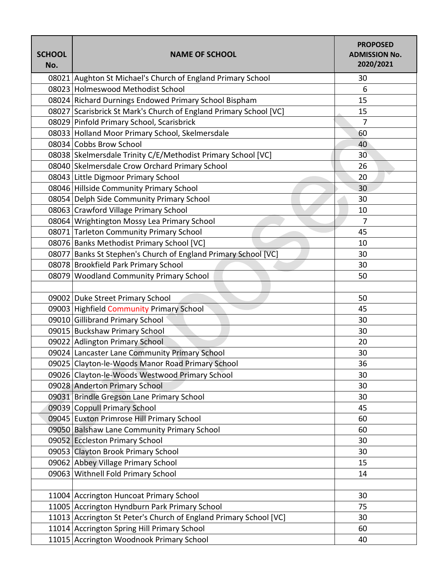| <b>SCHOOL</b><br>No. | <b>NAME OF SCHOOL</b>                                             | <b>PROPOSED</b><br><b>ADMISSION No.</b><br>2020/2021 |
|----------------------|-------------------------------------------------------------------|------------------------------------------------------|
|                      | 08021 Aughton St Michael's Church of England Primary School       | 30                                                   |
|                      | 08023 Holmeswood Methodist School                                 | $6\phantom{1}6$                                      |
|                      | 08024 Richard Durnings Endowed Primary School Bispham             | 15                                                   |
|                      | 08027 Scarisbrick St Mark's Church of England Primary School [VC] | 15                                                   |
|                      | 08029 Pinfold Primary School, Scarisbrick                         | $\overline{7}$                                       |
|                      | 08033 Holland Moor Primary School, Skelmersdale                   | 60                                                   |
|                      | 08034 Cobbs Brow School                                           | 40                                                   |
|                      | 08038 Skelmersdale Trinity C/E/Methodist Primary School [VC]      | 30                                                   |
|                      | 08040 Skelmersdale Crow Orchard Primary School                    | 26                                                   |
|                      | 08043 Little Digmoor Primary School                               | 20                                                   |
|                      | 08046 Hillside Community Primary School                           | 30                                                   |
|                      | 08054 Delph Side Community Primary School                         | 30                                                   |
|                      | 08063 Crawford Village Primary School                             | 10                                                   |
|                      | 08064 Wrightington Mossy Lea Primary School                       | $\overline{7}$                                       |
|                      | 08071 Tarleton Community Primary School                           | 45                                                   |
|                      | 08076 Banks Methodist Primary School [VC]                         | 10                                                   |
|                      | 08077 Banks St Stephen's Church of England Primary School [VC]    | 30                                                   |
|                      | 08078 Brookfield Park Primary School                              | 30                                                   |
|                      | 08079 Woodland Community Primary School                           | 50                                                   |
|                      |                                                                   |                                                      |
|                      | 09002 Duke Street Primary School                                  | 50                                                   |
|                      | 09003 Highfield Community Primary School                          | 45                                                   |
|                      | 09010 Gillibrand Primary School                                   | 30                                                   |
|                      | 09015 Buckshaw Primary School                                     | 30                                                   |
|                      | 09022 Adlington Primary School                                    | 20                                                   |
|                      | 09024 Lancaster Lane Community Primary School                     | 30                                                   |
|                      | 09025 Clayton-le-Woods Manor Road Primary School                  | 36                                                   |
|                      | 09026 Clayton-le-Woods Westwood Primary School                    | 30                                                   |
|                      | 09028 Anderton Primary School                                     | 30                                                   |
|                      | 09031 Brindle Gregson Lane Primary School                         | 30                                                   |
|                      | 09039 Coppull Primary School                                      | 45                                                   |
|                      | 09045 Euxton Primrose Hill Primary School                         | 60                                                   |
|                      | 09050 Balshaw Lane Community Primary School                       | 60                                                   |
|                      | 09052 Eccleston Primary School                                    | 30                                                   |
|                      | 09053 Clayton Brook Primary School                                | 30                                                   |
|                      | 09062 Abbey Village Primary School                                | 15                                                   |
|                      | 09063 Withnell Fold Primary School                                | 14                                                   |
|                      |                                                                   |                                                      |
|                      | 11004 Accrington Huncoat Primary School                           | 30                                                   |
|                      | 11005 Accrington Hyndburn Park Primary School                     | 75                                                   |
|                      | 11013 Accrington St Peter's Church of England Primary School [VC] | 30                                                   |
|                      | 11014 Accrington Spring Hill Primary School                       | 60                                                   |
|                      | 11015 Accrington Woodnook Primary School                          | 40                                                   |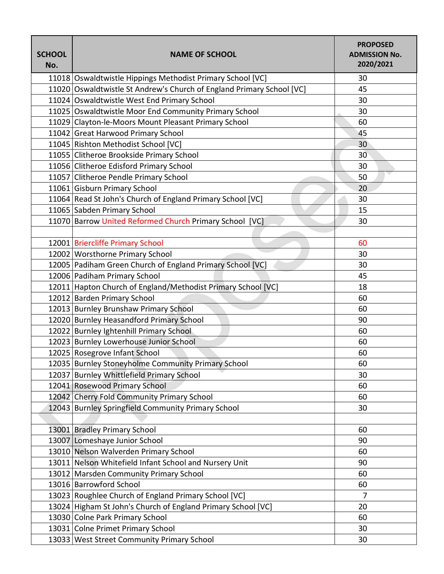| <b>SCHOOL</b><br>No. | <b>NAME OF SCHOOL</b>                                                 | <b>PROPOSED</b><br><b>ADMISSION No.</b><br>2020/2021 |
|----------------------|-----------------------------------------------------------------------|------------------------------------------------------|
|                      | 11018 Oswaldtwistle Hippings Methodist Primary School [VC]            | 30                                                   |
|                      | 11020 Oswaldtwistle St Andrew's Church of England Primary School [VC] | 45                                                   |
|                      | 11024 Oswaldtwistle West End Primary School                           | 30                                                   |
|                      | 11025 Oswaldtwistle Moor End Community Primary School                 | 30                                                   |
|                      | 11029 Clayton-le-Moors Mount Pleasant Primary School                  | 60                                                   |
|                      | 11042 Great Harwood Primary School                                    | 45                                                   |
|                      | 11045 Rishton Methodist School [VC]                                   | 30                                                   |
|                      | 11055 Clitheroe Brookside Primary School                              | 30                                                   |
|                      | 11056 Clitheroe Edisford Primary School                               | 30                                                   |
|                      | 11057 Clitheroe Pendle Primary School                                 | 50                                                   |
|                      | 11061 Gisburn Primary School                                          | 20                                                   |
|                      | 11064 Read St John's Church of England Primary School [VC]            | 30                                                   |
|                      | 11065 Sabden Primary School                                           | 15                                                   |
|                      | 11070 Barrow United Reformed Church Primary School [VC]               | 30                                                   |
|                      |                                                                       |                                                      |
|                      | 12001 Briercliffe Primary School                                      | 60                                                   |
|                      | 12002 Worsthorne Primary School                                       | 30                                                   |
|                      | 12005 Padiham Green Church of England Primary School [VC]             | 30                                                   |
|                      | 12006 Padiham Primary School                                          | 45                                                   |
|                      | 12011 Hapton Church of England/Methodist Primary School [VC]          | 18                                                   |
|                      | 12012 Barden Primary School                                           | 60                                                   |
|                      | 12013 Burnley Brunshaw Primary School                                 | 60                                                   |
|                      | 12020 Burnley Heasandford Primary School                              | 90                                                   |
|                      | 12022 Burnley Ightenhill Primary School                               | 60                                                   |
|                      | 12023 Burnley Lowerhouse Junior School                                | 60                                                   |
|                      | 12025 Rosegrove Infant School                                         | 60                                                   |
|                      | 12035 Burnley Stoneyholme Community Primary School                    | 60                                                   |
|                      | 12037 Burnley Whittlefield Primary School                             | 30                                                   |
|                      | 12041 Rosewood Primary School                                         | 60                                                   |
|                      | 12042 Cherry Fold Community Primary School                            | 60                                                   |
|                      | 12043 Burnley Springfield Community Primary School                    | 30                                                   |
|                      |                                                                       |                                                      |
|                      | 13001 Bradley Primary School                                          | 60                                                   |
|                      | 13007 Lomeshaye Junior School                                         | 90                                                   |
|                      | 13010 Nelson Walverden Primary School                                 | 60                                                   |
|                      | 13011 Nelson Whitefield Infant School and Nursery Unit                | 90                                                   |
|                      | 13012 Marsden Community Primary School                                | 60                                                   |
|                      | 13016 Barrowford School                                               | 60                                                   |
|                      | 13023 Roughlee Church of England Primary School [VC]                  | $\overline{7}$                                       |
|                      | 13024 Higham St John's Church of England Primary School [VC]          | 20                                                   |
|                      | 13030 Colne Park Primary School                                       | 60                                                   |
|                      | 13031 Colne Primet Primary School                                     | 30                                                   |
|                      | 13033 West Street Community Primary School                            | 30                                                   |